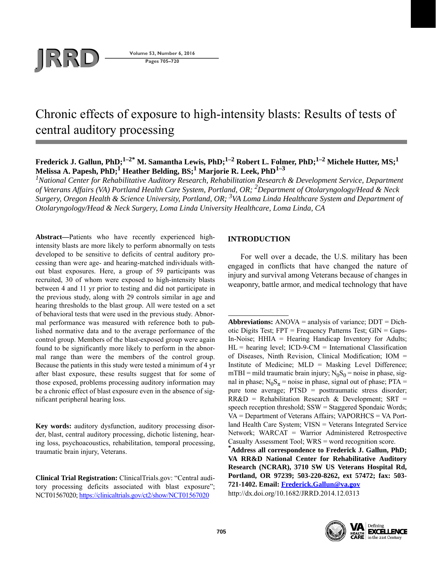

**Pages 705–720**

# Chronic effects of exposure to high-intensity blasts: Results of tests of central auditory processing

# **Frederick J. Gallun, PhD;1–2\* M. Samantha Lewis, PhD;1–2 Robert L. Folmer, PhD;1–2 Michele Hutter, MS;1 Melissa A. Papesh, PhD;1 Heather Belding, BS;1 Marjorie R. Leek, PhD1–3**

<sup>1</sup> National Center for Rehabilitative Auditory Research, Rehabilitation Research & Development Service, Department *of Veterans Affairs (VA) Portland Health Care System, Portland, OR; <sup>2</sup> Department of Otolaryngology/Head & Neck Surgery, Oregon Health & Science University, Portland, OR; 3VA Loma Linda Healthcare System and Department of Otolaryngology/Head & Neck Surgery, Loma Linda University Healthcare, Loma Linda, CA*

**Abstract—**Patients who have recently experienced highintensity blasts are more likely to perform abnormally on tests developed to be sensitive to deficits of central auditory processing than were age- and hearing-matched individuals without blast exposures. Here, a group of 59 participants was recruited, 30 of whom were exposed to high-intensity blasts between 4 and 11 yr prior to testing and did not participate in the previous study, along with 29 controls similar in age and hearing thresholds to the blast group. All were tested on a set of behavioral tests that were used in the previous study. Abnormal performance was measured with reference both to published normative data and to the average performance of the control group. Members of the blast-exposed group were again found to be significantly more likely to perform in the abnormal range than were the members of the control group. Because the patients in this study were tested a minimum of 4 yr after blast exposure, these results suggest that for some of those exposed, problems processing auditory information may be a chronic effect of blast exposure even in the absence of significant peripheral hearing loss.

**Key words:** auditory dysfunction, auditory processing disorder, blast, central auditory processing, dichotic listening, hearing loss, psychoacoustics, rehabilitation, temporal processing, traumatic brain injury, Veterans.

**Clinical Trial Registration:** ClinicalTrials.gov: "Central auditory processing deficits associated with blast exposure"; NCT01567020;<https://clinicaltrials.gov/ct2/show/NCT01567020>

# **INTRODUCTION**

For well over a decade, the U.S. military has been engaged in conflicts that have changed the nature of injury and survival among Veterans because of changes in weaponry, battle armor, and medical technology that have

**Abbreviations:** ANOVA = analysis of variance; DDT = Dichotic Digits Test; FPT = Frequency Patterns Test; GIN = Gaps-In-Noise; HHIA = Hearing Handicap Inventory for Adults;  $HL$  = hearing level; ICD-9-CM = International Classification of Diseases, Ninth Revision, Clinical Modification; IOM = Institute of Medicine; MLD = Masking Level Difference; mTBI = mild traumatic brain injury;  $N_0S_0$  = noise in phase, signal in phase;  $N_0S_\pi$  = noise in phase, signal out of phase; PTA = pure tone average; PTSD = posttraumatic stress disorder;  $RR&D$  = Rehabilitation Research & Development; SRT = speech reception threshold; SSW = Staggered Spondaic Words; VA = Department of Veterans Affairs; VAPORHCS = VA Portland Health Care System; VISN = Veterans Integrated Service Network; WARCAT = Warrior Administered Retrospective Casualty Assessment Tool; WRS = word recognition score. **\***

**Address all correspondence to Frederick J. Gallun, PhD; VA RR&D National Center for Rehabilitative Auditory Research (NCRAR), 3710 SW US Veterans Hospital Rd, Portland, OR 97239; 503-220-8262, ext 57472; fax: 503- 721-1402. Email: [Frederick.Gallun@va.gov](mailto:Frederick.Gallun@va.gov)** http://dx.doi.org/10.1682/JRRD.2014.12.0313



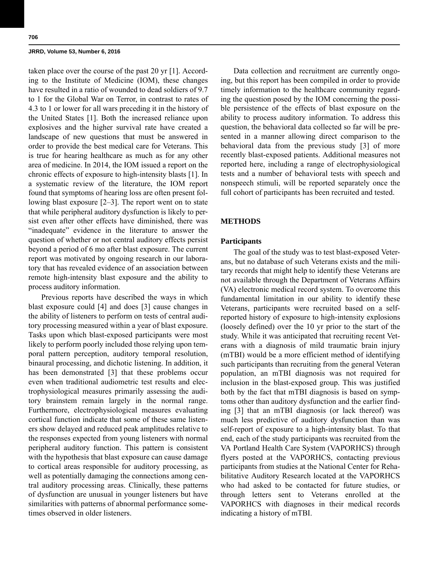taken place over the course of the past 20 yr [1]. According to the Institute of Medicine (IOM), these changes have resulted in a ratio of wounded to dead soldiers of 9.7 to 1 for the Global War on Terror, in contrast to rates of 4.3 to 1 or lower for all wars preceding it in the history of the United States [1]. Both the increased reliance upon explosives and the higher survival rate have created a landscape of new questions that must be answered in order to provide the best medical care for Veterans. This is true for hearing healthcare as much as for any other area of medicine. In 2014, the IOM issued a report on the chronic effects of exposure to high-intensity blasts [1]. In a systematic review of the literature, the IOM report found that symptoms of hearing loss are often present following blast exposure [2–3]. The report went on to state that while peripheral auditory dysfunction is likely to persist even after other effects have diminished, there was "inadequate" evidence in the literature to answer the question of whether or not central auditory effects persist beyond a period of 6 mo after blast exposure. The current report was motivated by ongoing research in our laboratory that has revealed evidence of an association between remote high-intensity blast exposure and the ability to process auditory information.

Previous reports have described the ways in which blast exposure could [4] and does [3] cause changes in the ability of listeners to perform on tests of central auditory processing measured within a year of blast exposure. Tasks upon which blast-exposed participants were most likely to perform poorly included those relying upon temporal pattern perception, auditory temporal resolution, binaural processing, and dichotic listening. In addition, it has been demonstrated [3] that these problems occur even when traditional audiometric test results and electrophysiological measures primarily assessing the auditory brainstem remain largely in the normal range. Furthermore, electrophysiological measures evaluating cortical function indicate that some of these same listeners show delayed and reduced peak amplitudes relative to the responses expected from young listeners with normal peripheral auditory function. This pattern is consistent with the hypothesis that blast exposure can cause damage to cortical areas responsible for auditory processing, as well as potentially damaging the connections among central auditory processing areas. Clinically, these patterns of dysfunction are unusual in younger listeners but have similarities with patterns of abnormal performance sometimes observed in older listeners.

Data collection and recruitment are currently ongoing, but this report has been compiled in order to provide timely information to the healthcare community regarding the question posed by the IOM concerning the possible persistence of the effects of blast exposure on the ability to process auditory information. To address this question, the behavioral data collected so far will be presented in a manner allowing direct comparison to the behavioral data from the previous study [3] of more recently blast-exposed patients. Additional measures not reported here, including a range of electrophysiological tests and a number of behavioral tests with speech and nonspeech stimuli, will be reported separately once the full cohort of participants has been recruited and tested.

## **METHODS**

## **Participants**

The goal of the study was to test blast-exposed Veterans, but no database of such Veterans exists and the military records that might help to identify these Veterans are not available through the Department of Veterans Affairs (VA) electronic medical record system. To overcome this fundamental limitation in our ability to identify these Veterans, participants were recruited based on a selfreported history of exposure to high-intensity explosions (loosely defined) over the 10 yr prior to the start of the study. While it was anticipated that recruiting recent Veterans with a diagnosis of mild traumatic brain injury (mTBI) would be a more efficient method of identifying such participants than recruiting from the general Veteran population, an mTBI diagnosis was not required for inclusion in the blast-exposed group. This was justified both by the fact that mTBI diagnosis is based on symptoms other than auditory dysfunction and the earlier finding [3] that an mTBI diagnosis (or lack thereof) was much less predictive of auditory dysfunction than was self-report of exposure to a high-intensity blast. To that end, each of the study participants was recruited from the VA Portland Health Care System (VAPORHCS) through flyers posted at the VAPORHCS, contacting previous participants from studies at the National Center for Rehabilitative Auditory Research located at the VAPORHCS who had asked to be contacted for future studies, or through letters sent to Veterans enrolled at the VAPORHCS with diagnoses in their medical records indicating a history of mTBI.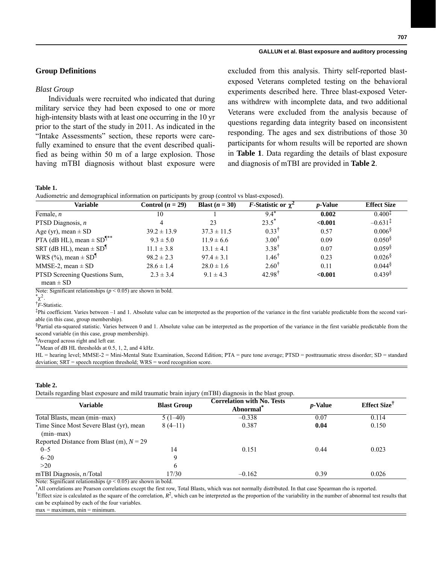## **Group Definitions**

#### *Blast Group*

Individuals were recruited who indicated that during military service they had been exposed to one or more high-intensity blasts with at least one occurring in the 10 yr prior to the start of the study in 2011. As indicated in the "Intake Assessments" section, these reports were carefully examined to ensure that the event described qualified as being within 50 m of a large explosion. Those having mTBI diagnosis without blast exposure were excluded from this analysis. Thirty self-reported blastexposed Veterans completed testing on the behavioral experiments described here. Three blast-exposed Veterans withdrew with incomplete data, and two additional Veterans were excluded from the analysis because of questions regarding data integrity based on inconsistent responding. The ages and sex distributions of those 30 participants for whom results will be reported are shown in **Table 1**. Data regarding the details of blast exposure and diagnosis of mTBI are provided in **Table 2**.

## **Table 1.**

Audiometric and demographical information on participants by group (control vs blast-exposed).

| Variable                                       | Control $(n = 29)$ | Blast $(n = 30)$ | <i>F</i> -Statistic or $\gamma^2$ | <i>p</i> -Value | <b>Effect Size</b>    |
|------------------------------------------------|--------------------|------------------|-----------------------------------|-----------------|-----------------------|
| Female, $n$                                    | 10                 |                  | $9.4^{\circ}$                     | 0.002           | $0.400^{1}$           |
| PTSD Diagnosis, $n$                            | $\overline{4}$     | 23               | $23.5^*$                          | < 0.001         | $-0.631$ <sup>T</sup> |
| Age (yr), mean $\pm$ SD                        | $39.2 \pm 13.9$    | $37.3 \pm 11.5$  | $0.33^{\dagger}$                  | 0.57            | 0.006 <sup>§</sup>    |
| PTA (dB HL), mean $\pm$ SD <sup>¶**</sup>      | $9.3 \pm 5.0$      | $11.9 \pm 6.6$   | $3.00^{\dagger}$                  | 0.09            | 0.050 <sup>§</sup>    |
| SRT (dB HL), mean $\pm$ SD <sup>1</sup>        | $11.1 \pm 3.8$     | $13.1 \pm 4.1$   | $3.38^{\dagger}$                  | 0.07            | $0.059$ <sup>§</sup>  |
| WRS $(\%)$ , mean $\pm$ SD <sup>¶</sup>        | $98.2 \pm 2.3$     | $97.4 \pm 3.1$   | $1.46^{\dagger}$                  | 0.23            | 0.026 <sup>§</sup>    |
| MMSE-2, mean $\pm$ SD                          | $28.6 \pm 1.4$     | $28.0 \pm 1.6$   | $2.60^{\dagger}$                  | 0.11            | $0.044\$              |
| PTSD Screening Questions Sum,<br>$mean \pm SD$ | $2.3 \pm 3.4$      | $9.1 \pm 4.3$    | $42.98^{\dagger}$                 | < 0.001         | 0.439 <sup>§</sup>    |

Note: Significant relationships ( $p \le 0.05$ ) are shown in bold.

 $\chi^2$ .

† *F*-Statistic.

‡ Phi coefficient. Varies between –1 and 1. Absolute value can be interpreted as the proportion of the variance in the first variable predictable from the second variable (in this case, group membership).

 $\frac{1}{2}$ Partial eta-squared statistic. Varies between 0 and 1. Absolute value can be interpreted as the proportion of the variance in the first variable predictable from the second variable (in this case, group membership).

¶ Averaged across right and left ear.

\*\*Mean of dB HL thresholds at 0.5, 1, 2, and 4 kHz.

HL = hearing level; MMSE-2 = Mini-Mental State Examination, Second Edition; PTA = pure tone average; PTSD = posttraumatic stress disorder; SD = standard deviation; SRT = speech reception threshold; WRS = word recognition score.

#### **Table 2.**

Details regarding blast exposure and mild traumatic brain injury (mTBI) diagnosis in the blast group.

| Variable                                               | <b>Blast Group</b> | <b>Correlation with No. Tests</b><br>Abnormal <sup>*</sup> | <i>p</i> -Value | <b>Effect Size</b> <sup><math>\bar{ }</math></sup> |  |
|--------------------------------------------------------|--------------------|------------------------------------------------------------|-----------------|----------------------------------------------------|--|
| Total Blasts, mean (min-max)                           | $5(1-40)$          | $-0.338$                                                   | 0.07            | 0.114                                              |  |
| Time Since Most Severe Blast (yr), mean<br>$(min-max)$ | $8(4-11)$          | 0.387                                                      | 0.04            | 0.150                                              |  |
| Reported Distance from Blast (m), $N = 29$             |                    |                                                            |                 |                                                    |  |
| $0 - 5$                                                | 14                 | 0.151                                                      | 0.44            | 0.023                                              |  |
| $6 - 20$                                               | 9                  |                                                            |                 |                                                    |  |
| >20                                                    | 6                  |                                                            |                 |                                                    |  |
| mTBI Diagnosis, $n$ /Total                             | 17/30              | $-0.162$                                                   | 0.39            | 0.026                                              |  |

Note: Significant relationships ( $p \le 0.05$ ) are shown in bold.

\* All correlations are Pearson correlations except the first row, Total Blasts, which was not normally distributed. In that case Spearman rho is reported.

<sup>†</sup>Effect size is calculated as the square of the correlation,  $R^2$ , which can be interpreted as the proportion of the variability in the number of abnormal test results that can be explained by each of the four variables.

 $max = maximum$ ,  $min = minimum$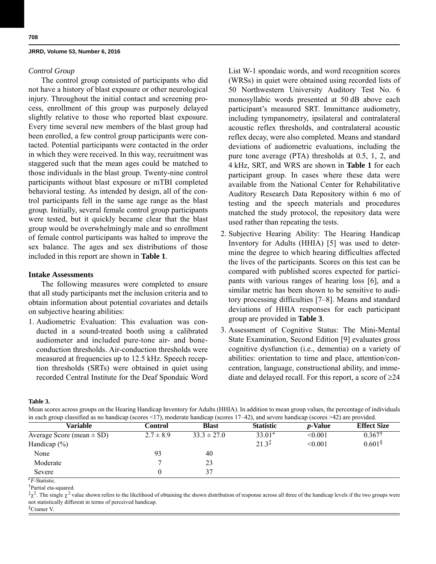#### *Control Group*

The control group consisted of participants who did not have a history of blast exposure or other neurological injury. Throughout the initial contact and screening process, enrollment of this group was purposely delayed slightly relative to those who reported blast exposure. Every time several new members of the blast group had been enrolled, a few control group participants were contacted. Potential participants were contacted in the order in which they were received. In this way, recruitment was staggered such that the mean ages could be matched to those individuals in the blast group. Twenty-nine control participants without blast exposure or mTBI completed behavioral testing. As intended by design, all of the control participants fell in the same age range as the blast group. Initially, several female control group participants were tested, but it quickly became clear that the blast group would be overwhelmingly male and so enrollment of female control participants was halted to improve the sex balance. The ages and sex distributions of those included in this report are shown in **Table 1**.

## **Intake Assessments**

The following measures were completed to ensure that all study participants met the inclusion criteria and to obtain information about potential covariates and details on subjective hearing abilities:

1. Audiometric Evaluation: This evaluation was conducted in a sound-treated booth using a calibrated audiometer and included pure-tone air- and boneconduction thresholds. Air-conduction thresholds were measured at frequencies up to 12.5 kHz. Speech reception thresholds (SRTs) were obtained in quiet using recorded Central Institute for the Deaf Spondaic Word List W-1 spondaic words, and word recognition scores (WRSs) in quiet were obtained using recorded lists of 50 Northwestern University Auditory Test No. 6 monosyllabic words presented at 50 dB above each participant's measured SRT. Immittance audiometry, including tympanometry, ipsilateral and contralateral acoustic reflex thresholds, and contralateral acoustic reflex decay, were also completed. Means and standard deviations of audiometric evaluations, including the pure tone average (PTA) thresholds at 0.5, 1, 2, and 4 kHz, SRT, and WRS are shown in **Table 1** for each participant group. In cases where these data were available from the National Center for Rehabilitative Auditory Research Data Repository within 6 mo of testing and the speech materials and procedures matched the study protocol, the repository data were used rather than repeating the tests.

- 2. Subjective Hearing Ability: The Hearing Handicap Inventory for Adults (HHIA) [5] was used to determine the degree to which hearing difficulties affected the lives of the participants. Scores on this test can be compared with published scores expected for participants with various ranges of hearing loss [6], and a similar metric has been shown to be sensitive to auditory processing difficulties [7–8]. Means and standard deviations of HHIA responses for each participant group are provided in **Table 3**.
- 3. Assessment of Cognitive Status: The Mini-Mental State Examination, Second Edition [9] evaluates gross cognitive dysfunction (i.e., dementia) on a variety of abilities: orientation to time and place, attention/concentration, language, constructional ability, and immediate and delayed recall. For this report, a score of  $\geq 24$

**Table 3.**

Mean scores across groups on the Hearing Handicap Inventory for Adults (HHIA). In addition to mean group values, the percentage of individuals in each group classified as no handicap (scores  $\leq$ 17), moderate handicap (scores 17–42), and severe handicap (scores  $\geq$ 42) are provided

| Variable                      | Control       | <b>Blast</b>    | <b>Statistic</b>  | <i>p</i> -Value | <b>Effect Size</b> |
|-------------------------------|---------------|-----------------|-------------------|-----------------|--------------------|
| Average Score (mean $\pm$ SD) | $2.7 \pm 8.9$ | $33.3 \pm 27.0$ | $33.01*$          | < 0.001         | 0.367              |
| Handicap $(\% )$              |               |                 | $21.3^{\ddagger}$ | < 0.001         | $0.601\$           |
| None                          | 93            | 40              |                   |                 |                    |
| Moderate                      |               | 23              |                   |                 |                    |
| Severe                        |               | 37              |                   |                 |                    |

\**F*-Statistic.

†Partial eta-squared.

 $\frac{1}{2} \chi^2$ . The single  $\chi^2$  value shown refers to the likelihood of obtaining the shown distribution of response across all three of the handicap levels if the two groups were not statistically different in terms of perceived handicap.

§Cramer V.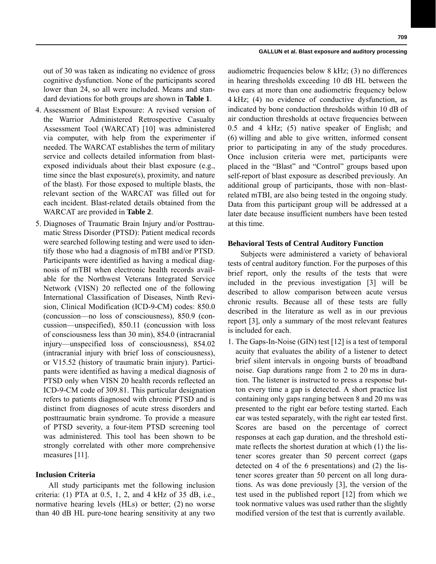out of 30 was taken as indicating no evidence of gross cognitive dysfunction. None of the participants scored lower than 24, so all were included. Means and standard deviations for both groups are shown in **Table 1**.

- 4. Assessment of Blast Exposure: A revised version of the Warrior Administered Retrospective Casualty Assessment Tool (WARCAT) [10] was administered via computer, with help from the experimenter if needed. The WARCAT establishes the term of military service and collects detailed information from blastexposed individuals about their blast exposure (e.g., time since the blast exposure(s), proximity, and nature of the blast). For those exposed to multiple blasts, the relevant section of the WARCAT was filled out for each incident. Blast-related details obtained from the WARCAT are provided in **Table 2**.
- 5. Diagnoses of Traumatic Brain Injury and/or Posttraumatic Stress Disorder (PTSD): Patient medical records were searched following testing and were used to identify those who had a diagnosis of mTBI and/or PTSD. Participants were identified as having a medical diagnosis of mTBI when electronic health records available for the Northwest Veterans Integrated Service Network (VISN) 20 reflected one of the following International Classification of Diseases, Ninth Revision, Clinical Modification (ICD-9-CM) codes: 850.0 (concussion—no loss of consciousness), 850.9 (concussion—unspecified), 850.11 (concussion with loss of consciousness less than 30 min), 854.0 (intracranial injury—unspecified loss of consciousness), 854.02 (intracranial injury with brief loss of consciousness), or V15.52 (history of traumatic brain injury). Participants were identified as having a medical diagnosis of PTSD only when VISN 20 health records reflected an ICD-9-CM code of 309.81. This particular designation refers to patients diagnosed with chronic PTSD and is distinct from diagnoses of acute stress disorders and posttraumatic brain syndrome. To provide a measure of PTSD severity, a four-item PTSD screening tool was administered. This tool has been shown to be strongly correlated with other more comprehensive measures [11].

## **Inclusion Criteria**

All study participants met the following inclusion criteria: (1) PTA at 0.5, 1, 2, and 4 kHz of 35 dB, i.e., normative hearing levels (HLs) or better; (2) no worse than 40 dB HL pure-tone hearing sensitivity at any two

audiometric frequencies below 8 kHz; (3) no differences in hearing thresholds exceeding 10 dB HL between the two ears at more than one audiometric frequency below 4 kHz; (4) no evidence of conductive dysfunction, as indicated by bone conduction thresholds within 10 dB of air conduction thresholds at octave frequencies between 0.5 and 4 kHz; (5) native speaker of English; and (6) willing and able to give written, informed consent prior to participating in any of the study procedures. Once inclusion criteria were met, participants were placed in the "Blast" and "Control" groups based upon self-report of blast exposure as described previously. An additional group of participants, those with non–blastrelated mTBI, are also being tested in the ongoing study. Data from this participant group will be addressed at a later date because insufficient numbers have been tested at this time.

# **Behavioral Tests of Central Auditory Function**

Subjects were administered a variety of behavioral tests of central auditory function. For the purposes of this brief report, only the results of the tests that were included in the previous investigation [3] will be described to allow comparison between acute versus chronic results. Because all of these tests are fully described in the literature as well as in our previous report [3], only a summary of the most relevant features is included for each.

1. The Gaps-In-Noise (GIN) test [12] is a test of temporal acuity that evaluates the ability of a listener to detect brief silent intervals in ongoing bursts of broadband noise. Gap durations range from 2 to 20 ms in duration. The listener is instructed to press a response button every time a gap is detected. A short practice list containing only gaps ranging between 8 and 20 ms was presented to the right ear before testing started. Each ear was tested separately, with the right ear tested first. Scores are based on the percentage of correct responses at each gap duration, and the threshold estimate reflects the shortest duration at which (1) the listener scores greater than 50 percent correct (gaps detected on 4 of the 6 presentations) and (2) the listener scores greater than 50 percent on all long durations. As was done previously [3], the version of the test used in the published report [12] from which we took normative values was used rather than the slightly modified version of the test that is currently available.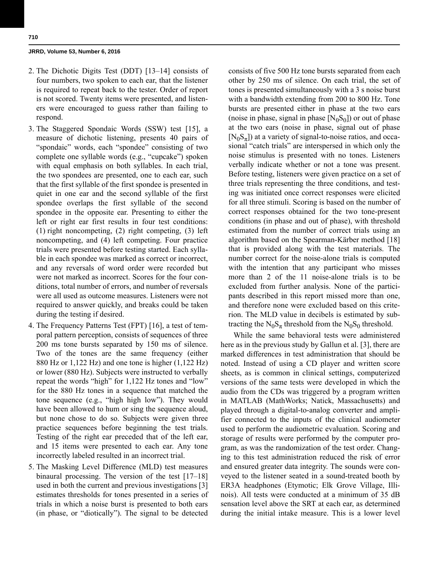- 2. The Dichotic Digits Test (DDT) [13–14] consists of four numbers, two spoken to each ear, that the listener is required to repeat back to the tester. Order of report is not scored. Twenty items were presented, and listeners were encouraged to guess rather than failing to respond.
- 3. The Staggered Spondaic Words (SSW) test [15], a measure of dichotic listening, presents 40 pairs of "spondaic" words, each "spondee" consisting of two complete one syllable words (e.g., "cupcake") spoken with equal emphasis on both syllables. In each trial, the two spondees are presented, one to each ear, such that the first syllable of the first spondee is presented in quiet in one ear and the second syllable of the first spondee overlaps the first syllable of the second spondee in the opposite ear. Presenting to either the left or right ear first results in four test conditions: (1) right noncompeting, (2) right competing, (3) left noncompeting, and (4) left competing. Four practice trials were presented before testing started. Each syllable in each spondee was marked as correct or incorrect, and any reversals of word order were recorded but were not marked as incorrect. Scores for the four conditions, total number of errors, and number of reversals were all used as outcome measures. Listeners were not required to answer quickly, and breaks could be taken during the testing if desired.
- 4. The Frequency Patterns Test (FPT) [16], a test of temporal pattern perception, consists of sequences of three 200 ms tone bursts separated by 150 ms of silence. Two of the tones are the same frequency (either 880 Hz or 1,122 Hz) and one tone is higher (1,122 Hz) or lower (880 Hz). Subjects were instructed to verbally repeat the words "high" for 1,122 Hz tones and "low" for the 880 Hz tones in a sequence that matched the tone sequence (e.g., "high high low"). They would have been allowed to hum or sing the sequence aloud, but none chose to do so. Subjects were given three practice sequences before beginning the test trials. Testing of the right ear preceded that of the left ear, and 15 items were presented to each ear. Any tone incorrectly labeled resulted in an incorrect trial.
- 5. The Masking Level Difference (MLD) test measures binaural processing. The version of the test [17–18] used in both the current and previous investigations [3] estimates thresholds for tones presented in a series of trials in which a noise burst is presented to both ears (in phase, or "diotically"). The signal to be detected

consists of five 500 Hz tone bursts separated from each other by 250 ms of silence. On each trial, the set of tones is presented simultaneously with a 3 s noise burst with a bandwidth extending from 200 to 800 Hz. Tone bursts are presented either in phase at the two ears (noise in phase, signal in phase  $[N_0S_0]$ ) or out of phase at the two ears (noise in phase, signal out of phase  $[N_0S_\pi]$ ) at a variety of signal-to-noise ratios, and occasional "catch trials" are interspersed in which only the noise stimulus is presented with no tones. Listeners verbally indicate whether or not a tone was present. Before testing, listeners were given practice on a set of three trials representing the three conditions, and testing was initiated once correct responses were elicited for all three stimuli. Scoring is based on the number of correct responses obtained for the two tone-present conditions (in phase and out of phase), with threshold estimated from the number of correct trials using an algorithm based on the Spearman-Kärber method [18] that is provided along with the test materials. The number correct for the noise-alone trials is computed with the intention that any participant who misses more than 2 of the 11 noise-alone trials is to be excluded from further analysis. None of the participants described in this report missed more than one, and therefore none were excluded based on this criterion. The MLD value in decibels is estimated by subtracting the  $N_0S_\pi$  threshold from the  $N_0S_0$  threshold.

While the same behavioral tests were administered here as in the previous study by Gallun et al. [3], there are marked differences in test administration that should be noted. Instead of using a CD player and written score sheets, as is common in clinical settings, computerized versions of the same tests were developed in which the audio from the CDs was triggered by a program written in MATLAB (MathWorks; Natick, Massachusetts) and played through a digital-to-analog converter and amplifier connected to the inputs of the clinical audiometer used to perform the audiometric evaluation. Scoring and storage of results were performed by the computer program, as was the randomization of the test order. Changing to this test administration reduced the risk of error and ensured greater data integrity. The sounds were conveyed to the listener seated in a sound-treated booth by ER3A headphones (Etymotic; Elk Grove Village, Illinois). All tests were conducted at a minimum of 35 dB sensation level above the SRT at each ear, as determined during the initial intake measure. This is a lower level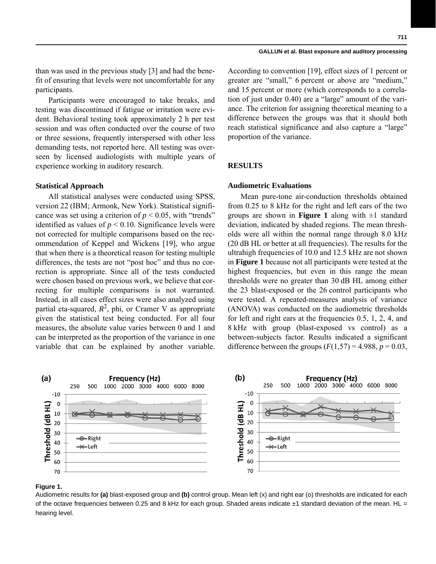than was used in the previous study [3] and had the benefit of ensuring that levels were not uncomfortable for any participants.

Participants were encouraged to take breaks, and testing was discontinued if fatigue or irritation were evident. Behavioral testing took approximately 2 h per test session and was often conducted over the course of two or three sessions, frequently interspersed with other less demanding tests, not reported here. All testing was overseen by licensed audiologists with multiple years of experience working in auditory research.

#### **Statistical Approach**

All statistical analyses were conducted using SPSS, version 22 (IBM; Armonk, New York). Statistical significance was set using a criterion of  $p < 0.05$ , with "trends" identified as values of  $p < 0.10$ . Significance levels were not corrected for multiple comparisons based on the recommendation of Keppel and Wickens [19], who argue that when there is a theoretical reason for testing multiple differences, the tests are not "post hoc" and thus no correction is appropriate. Since all of the tests conducted were chosen based on previous work, we believe that correcting for multiple comparisons is not warranted. Instead, in all cases effect sizes were also analyzed using partial eta-squared,  $R^2$ , phi, or Cramer V as appropriate given the statistical test being conducted. For all four measures, the absolute value varies between 0 and 1 and can be interpreted as the proportion of the variance in one variable that can be explained by another variable.

According to convention [19], effect sizes of 1 percent or greater are "small," 6 percent or above are "medium," and 15 percent or more (which corresponds to a correlation of just under 0.40) are a "large" amount of the variance. The criterion for assigning theoretical meaning to a difference between the groups was that it should both reach statistical significance and also capture a "large" proportion of the variance.

# **RESULTS**

#### **Audiometric Evaluations**

Mean pure-tone air-conduction thresholds obtained from 0.25 to 8 kHz for the right and left ears of the two groups are shown in **Figure 1** along with  $\pm 1$  standard deviation, indicated by shaded regions. The mean thresholds were all within the normal range through 8.0 kHz (20 dB HL or better at all frequencies). The results for the ultrahigh frequencies of 10.0 and 12.5 kHz are not shown in **Figure 1** because not all participants were tested at the highest frequencies, but even in this range the mean thresholds were no greater than 30 dB HL among either the 23 blast-exposed or the 26 control participants who were tested. A repeated-measures analysis of variance (ANOVA) was conducted on the audiometric thresholds for left and right ears at the frequencies 0.5, 1, 2, 4, and 8 kHz with group (blast-exposed vs control) as a between-subjects factor. Results indicated a significant difference between the groups  $(F(1,57) = 4.988, p = 0.03,$ 



#### **Figure 1.**

Audiometric results for **(a)** blast-exposed group and **(b)** control group. Mean left (x) and right ear (o) thresholds are indicated for each of the octave frequencies between 0.25 and 8 kHz for each group. Shaded areas indicate  $\pm 1$  standard deviation of the mean. HL = hearing level.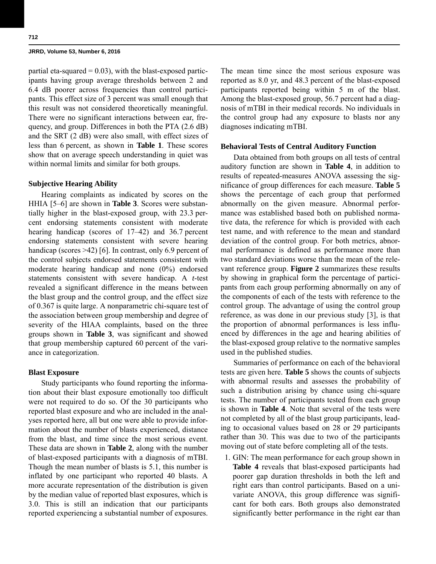partial eta-squared  $= 0.03$ ), with the blast-exposed participants having group average thresholds between 2 and 6.4 dB poorer across frequencies than control participants. This effect size of 3 percent was small enough that this result was not considered theoretically meaningful. There were no significant interactions between ear, frequency, and group. Differences in both the PTA (2.6 dB) and the SRT (2 dB) were also small, with effect sizes of less than 6 percent, as shown in **Table 1**. These scores show that on average speech understanding in quiet was within normal limits and similar for both groups.

## **Subjective Hearing Ability**

Hearing complaints as indicated by scores on the HHIA [5–6] are shown in **Table 3**. Scores were substantially higher in the blast-exposed group, with 23.3 percent endorsing statements consistent with moderate hearing handicap (scores of 17–42) and 36.7 percent endorsing statements consistent with severe hearing handicap (scores >42) [6]. In contrast, only 6.9 percent of the control subjects endorsed statements consistent with moderate hearing handicap and none (0%) endorsed statements consistent with severe handicap. A *t*-test revealed a significant difference in the means between the blast group and the control group, and the effect size of 0.367 is quite large. A nonparametric chi-square test of the association between group membership and degree of severity of the HIAA complaints, based on the three groups shown in **Table 3**, was significant and showed that group membership captured 60 percent of the variance in categorization.

## **Blast Exposure**

Study participants who found reporting the information about their blast exposure emotionally too difficult were not required to do so. Of the 30 participants who reported blast exposure and who are included in the analyses reported here, all but one were able to provide information about the number of blasts experienced, distance from the blast, and time since the most serious event. These data are shown in **Table 2**, along with the number of blast-exposed participants with a diagnosis of mTBI. Though the mean number of blasts is 5.1, this number is inflated by one participant who reported 40 blasts. A more accurate representation of the distribution is given by the median value of reported blast exposures, which is 3.0. This is still an indication that our participants reported experiencing a substantial number of exposures. The mean time since the most serious exposure was reported as 8.0 yr, and 48.3 percent of the blast-exposed participants reported being within 5 m of the blast. Among the blast-exposed group, 56.7 percent had a diagnosis of mTBI in their medical records. No individuals in the control group had any exposure to blasts nor any diagnoses indicating mTBI.

#### **Behavioral Tests of Central Auditory Function**

Data obtained from both groups on all tests of central auditory function are shown in **Table 4**, in addition to results of repeated-measures ANOVA assessing the significance of group differences for each measure. **Table 5** shows the percentage of each group that performed abnormally on the given measure. Abnormal performance was established based both on published normative data, the reference for which is provided with each test name, and with reference to the mean and standard deviation of the control group. For both metrics, abnormal performance is defined as performance more than two standard deviations worse than the mean of the relevant reference group. **Figure 2** summarizes these results by showing in graphical form the percentage of participants from each group performing abnormally on any of the components of each of the tests with reference to the control group. The advantage of using the control group reference, as was done in our previous study [3], is that the proportion of abnormal performances is less influenced by differences in the age and hearing abilities of the blast-exposed group relative to the normative samples used in the published studies.

Summaries of performance on each of the behavioral tests are given here. **Table 5** shows the counts of subjects with abnormal results and assesses the probability of such a distribution arising by chance using chi-square tests. The number of participants tested from each group is shown in **Table 4**. Note that several of the tests were not completed by all of the blast group participants, leading to occasional values based on 28 or 29 participants rather than 30. This was due to two of the participants moving out of state before completing all of the tests.

 1. GIN: The mean performance for each group shown in **Table 4** reveals that blast-exposed participants had poorer gap duration thresholds in both the left and right ears than control participants. Based on a univariate ANOVA, this group difference was significant for both ears. Both groups also demonstrated significantly better performance in the right ear than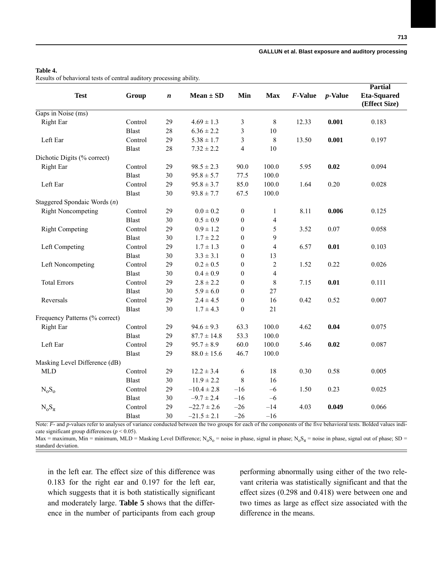## **Table 4.**

Results of behavioral tests of central auditory processing ability.

| <b>Test</b>                    | Group        | $\boldsymbol{n}$ | $Mean \pm SD$   | Min              | <b>Max</b>     | F-Value | $p$ -Value | <b>Partial</b><br><b>Eta-Squared</b><br>(Effect Size) |  |
|--------------------------------|--------------|------------------|-----------------|------------------|----------------|---------|------------|-------------------------------------------------------|--|
| Gaps in Noise (ms)             |              |                  |                 |                  |                |         |            |                                                       |  |
| Right Ear                      | Control      | 29               | $4.69 \pm 1.3$  | 3                | 8              | 12.33   | 0.001      | 0.183                                                 |  |
|                                | <b>Blast</b> | 28               | $6.36 \pm 2.2$  | 3                | 10             |         |            |                                                       |  |
| Left Ear                       | Control      | 29               | $5.38 \pm 1.7$  | 3                | 8              | 13.50   | 0.001      | 0.197                                                 |  |
|                                | <b>Blast</b> | 28               | $7.32 \pm 2.2$  | 4                | 10             |         |            |                                                       |  |
| Dichotic Digits (% correct)    |              |                  |                 |                  |                |         |            |                                                       |  |
| Right Ear                      | Control      | 29               | $98.5 \pm 2.3$  | 90.0             | 100.0          | 5.95    | 0.02       | 0.094                                                 |  |
|                                | <b>Blast</b> | 30               | $95.8 \pm 5.7$  | 77.5             | 100.0          |         |            |                                                       |  |
| Left Ear                       | Control      | 29               | $95.8 \pm 3.7$  | 85.0             | 100.0          | 1.64    | 0.20       | 0.028                                                 |  |
|                                | <b>Blast</b> | 30               | $93.8 \pm 7.7$  | 67.5             | 100.0          |         |            |                                                       |  |
| Staggered Spondaic Words $(n)$ |              |                  |                 |                  |                |         |            |                                                       |  |
| <b>Right Noncompeting</b>      | Control      | 29               | $0.0 \pm 0.2$   | $\boldsymbol{0}$ | 1              | 8.11    | 0.006      | 0.125                                                 |  |
|                                | <b>Blast</b> | 30               | $0.5 \pm 0.9$   | $\mathbf{0}$     | 4              |         |            |                                                       |  |
| <b>Right Competing</b>         | Control      | 29               | $0.9 \pm 1.2$   | $\boldsymbol{0}$ | 5              | 3.52    | 0.07       | 0.058                                                 |  |
|                                | <b>Blast</b> | 30               | $1.7 \pm 2.2$   | $\boldsymbol{0}$ | 9              |         |            |                                                       |  |
| Left Competing                 | Control      | 29               | $1.7 \pm 1.3$   | $\boldsymbol{0}$ | $\overline{4}$ | 6.57    | 0.01       | 0.103                                                 |  |
|                                | <b>Blast</b> | 30               | $3.3 \pm 3.1$   | $\boldsymbol{0}$ | 13             |         |            |                                                       |  |
| Left Noncompeting              | Control      | 29               | $0.2 \pm 0.5$   | $\boldsymbol{0}$ | $\overline{c}$ | 1.52    | 0.22       | 0.026                                                 |  |
|                                | <b>Blast</b> | 30               | $0.4 \pm 0.9$   | $\boldsymbol{0}$ | $\overline{4}$ |         |            |                                                       |  |
| <b>Total Errors</b>            | Control      | 29               | $2.8 \pm 2.2$   | $\boldsymbol{0}$ | $\,$ 8 $\,$    | 7.15    | 0.01       | 0.111                                                 |  |
|                                | <b>Blast</b> | 30               | $5.9 \pm 6.0$   | $\boldsymbol{0}$ | 27             |         |            |                                                       |  |
| Reversals                      | Control      | 29               | $2.4 \pm 4.5$   | $\boldsymbol{0}$ | 16             | 0.42    | 0.52       | 0.007                                                 |  |
|                                | <b>Blast</b> | 30               | $1.7 \pm 4.3$   | $\boldsymbol{0}$ | 21             |         |            |                                                       |  |
| Frequency Patterns (% correct) |              |                  |                 |                  |                |         |            |                                                       |  |
| Right Ear                      | Control      | 29               | $94.6 \pm 9.3$  | 63.3             | 100.0          | 4.62    | 0.04       | 0.075                                                 |  |
|                                | <b>Blast</b> | 29               | $87.7 \pm 14.8$ | 53.3             | 100.0          |         |            |                                                       |  |
| Left Ear                       | Control      | 29               | $95.7 \pm 8.9$  | 60.0             | 100.0          | 5.46    | 0.02       | 0.087                                                 |  |
|                                | <b>Blast</b> | 29               | $88.0 \pm 15.6$ | 46.7             | 100.0          |         |            |                                                       |  |
| Masking Level Difference (dB)  |              |                  |                 |                  |                |         |            |                                                       |  |
| <b>MLD</b>                     | Control      | 29               | $12.2 \pm 3.4$  | 6                | 18             | 0.30    | 0.58       | 0.005                                                 |  |
|                                | <b>Blast</b> | 30               | $11.9 \pm 2.2$  | $\,$ 8 $\,$      | 16             |         |            |                                                       |  |
| $N_0S_0$                       | Control      | 29               | $-10.4 \pm 2.8$ | $-16$            | $-6$           | 1.50    | 0.23       | 0.025                                                 |  |
|                                | <b>Blast</b> | 30               | $-9.7 \pm 2.4$  | $-16$            | $-6$           |         |            |                                                       |  |
| $N_oS_{\pi}$                   | Control      | 29               | $-22.7 \pm 2.6$ | $-26$            | $-14$          | 4.03    | 0.049      | 0.066                                                 |  |
|                                | <b>Blast</b> | 30               | $-21.5 \pm 2.1$ | $-26$            | $-16$          |         |            |                                                       |  |

Note: *F*- and *p*-values refer to analyses of variance conducted between the two groups for each of the components of the five behavioral tests. Bolded values indicate significant group differences  $(p < 0.05)$ .

Max = maximum, Min = minimum, MLD = Masking Level Difference; N<sub>o</sub>S<sub>o</sub> = noise in phase; signal in phase; N<sub>o</sub>S<sub> $\pi$ </sub> = noise in phase, signal out of phase; SD = standard deviation.

in the left ear. The effect size of this difference was 0.183 for the right ear and 0.197 for the left ear, which suggests that it is both statistically significant and moderately large. **Table 5** shows that the difference in the number of participants from each group

performing abnormally using either of the two relevant criteria was statistically significant and that the effect sizes (0.298 and 0.418) were between one and two times as large as effect size associated with the difference in the means.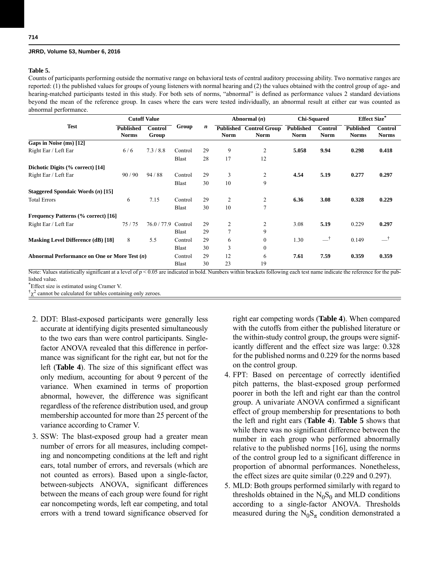## **Table 5.**

Counts of participants performing outside the normative range on behavioral tests of central auditory processing ability. Two normative ranges are reported: (1) the published values for groups of young listeners with normal hearing and (2) the values obtained with the control group of age- and hearing-matched participants tested in this study. For both sets of norms, "abnormal" is defined as performance values 2 standard deviations beyond the mean of the reference group. In cases where the ears were tested individually, an abnormal result at either ear was counted as abnormal performance.

|                                                | <b>Cutoff Value</b>              |                         |              |    | Abnormal $(n)$           |                                     | <b>Chi-Squared</b>              |                               | <b>Effect Size*</b>              |                                |
|------------------------------------------------|----------------------------------|-------------------------|--------------|----|--------------------------|-------------------------------------|---------------------------------|-------------------------------|----------------------------------|--------------------------------|
| <b>Test</b>                                    | <b>Published</b><br><b>Norms</b> | <b>Control</b><br>Group | Group        | n  | Published<br><b>Norm</b> | <b>Control Group</b><br><b>Norm</b> | <b>Published</b><br><b>Norm</b> | <b>Control</b><br><b>Norm</b> | <b>Published</b><br><b>Norms</b> | <b>Control</b><br><b>Norms</b> |
| Gaps in Noise $(ms)$ [12]                      |                                  |                         |              |    |                          |                                     |                                 |                               |                                  |                                |
| Right Ear / Left Ear                           | 6/6                              | 7.3/8.8                 | Control      | 29 | 9                        | $\overline{c}$                      | 5.058                           | 9.94                          | 0.298                            | 0.418                          |
|                                                |                                  |                         | Blast        | 28 | 17                       | 12                                  |                                 |                               |                                  |                                |
| Dichotic Digits (% correct) [14]               |                                  |                         |              |    |                          |                                     |                                 |                               |                                  |                                |
| Right Ear / Left Ear                           | 90/90                            | 94/88                   | Control      | 29 | 3                        | $\overline{2}$                      | 4.54                            | 5.19                          | 0.277                            | 0.297                          |
|                                                |                                  |                         | <b>Blast</b> | 30 | 10                       | 9                                   |                                 |                               |                                  |                                |
| Staggered Spondaic Words $(n)$ [15]            |                                  |                         |              |    |                          |                                     |                                 |                               |                                  |                                |
| <b>Total Errors</b>                            | 6                                | 7.15                    | Control      | 29 | $\overline{c}$           | $\overline{c}$                      | 6.36                            | 3.08                          | 0.328                            | 0.229                          |
|                                                |                                  |                         | <b>Blast</b> | 30 | 10                       | 7                                   |                                 |                               |                                  |                                |
| <b>Frequency Patterns (% correct)</b> [16]     |                                  |                         |              |    |                          |                                     |                                 |                               |                                  |                                |
| Right Ear / Left Ear                           | 75/75                            | 76.0 / 77.9             | Control      | 29 | 2                        | $\overline{c}$                      | 3.08                            | 5.19                          | 0.229                            | 0.297                          |
|                                                |                                  |                         | Blast        | 29 | $\overline{7}$           | 9                                   |                                 |                               |                                  |                                |
| <b>Masking Level Difference (dB)</b> [18]      | 8                                | 5.5                     | Control      | 29 | 6                        | $\mathbf{0}$                        | 1.30                            | ᆣ                             | 0.149                            | ᆣ                              |
|                                                |                                  |                         | Blast        | 30 | 3                        | $\mathbf{0}$                        |                                 |                               |                                  |                                |
| Abnormal Performance on One or More Test $(n)$ |                                  |                         | Control      | 29 | 12                       | 6                                   | 7.61                            | 7.59                          | 0.359                            | 0.359                          |
|                                                |                                  |                         | <b>Blast</b> | 30 | 23                       | 19                                  |                                 |                               |                                  |                                |

Note: Values statistically significant at a level of  $p < 0.05$  are indicated in bold. Numbers within brackets following each test name indicate the reference for the published value.

\*Effect size is estimated using Cramer V.

 $\phi^2$  cannot be calculated for tables containing only zeroes.

- 2. DDT: Blast-exposed participants were generally less accurate at identifying digits presented simultaneously to the two ears than were control participants. Singlefactor ANOVA revealed that this difference in performance was significant for the right ear, but not for the left (**Table 4**). The size of this significant effect was only medium, accounting for about 9 percent of the variance. When examined in terms of proportion abnormal, however, the difference was significant regardless of the reference distribution used, and group membership accounted for more than 25 percent of the variance according to Cramer V.
- 3. SSW: The blast-exposed group had a greater mean number of errors for all measures, including competing and noncompeting conditions at the left and right ears, total number of errors, and reversals (which are not counted as errors). Based upon a single-factor, between-subjects ANOVA, significant differences between the means of each group were found for right ear noncompeting words, left ear competing, and total errors with a trend toward significance observed for

right ear competing words (**Table 4**). When compared with the cutoffs from either the published literature or the within-study control group, the groups were significantly different and the effect size was large: 0.328 for the published norms and 0.229 for the norms based on the control group.

- 4. FPT: Based on percentage of correctly identified pitch patterns, the blast-exposed group performed poorer in both the left and right ear than the control group. A univariate ANOVA confirmed a significant effect of group membership for presentations to both the left and right ears (**Table 4**). **Table 5** shows that while there was no significant difference between the number in each group who performed abnormally relative to the published norms [16], using the norms of the control group led to a significant difference in proportion of abnormal performances. Nonetheless, the effect sizes are quite similar (0.229 and 0.297).
- 5. MLD: Both groups performed similarly with regard to thresholds obtained in the  $N_0S_0$  and MLD conditions according to a single-factor ANOVA. Thresholds measured during the  $N_0S_\pi$  condition demonstrated a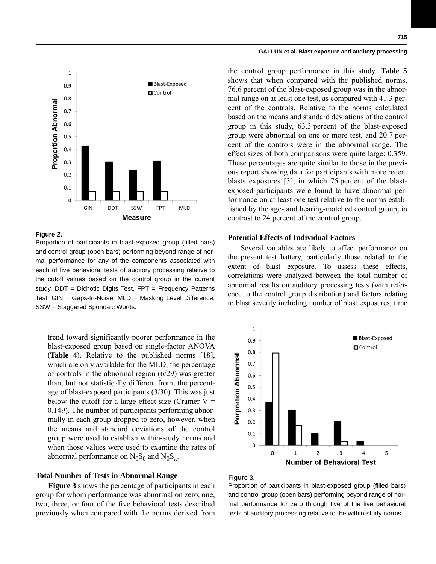

#### **Figure 2.**

Proportion of participants in blast-exposed group (filled bars) and control group (open bars) performing beyond range of normal performance for any of the components associated with each of five behavioral tests of auditory processing relative to the cutoff values based on the control group in the current study. DDT = Dichotic Digits Test, FPT = Frequency Patterns Test, GIN = Gaps-In-Noise, MLD = Masking Level Difference, SSW = Staggered Spondaic Words.

trend toward significantly poorer performance in the blast-exposed group based on single-factor ANOVA (**Table 4**). Relative to the published norms [18], which are only available for the MLD, the percentage of controls in the abnormal region (6/29) was greater than, but not statistically different from, the percentage of blast-exposed participants (3/30). This was just below the cutoff for a large effect size (Cramer  $V =$ 0.149). The number of participants performing abnormally in each group dropped to zero, however, when the means and standard deviations of the control group were used to establish within-study norms and when those values were used to examine the rates of abnormal performance on  $N_0S_0$  and  $N_0S_\pi$ .

#### **Total Number of Tests in Abnormal Range**

**Figure 3** shows the percentage of participants in each group for whom performance was abnormal on zero, one, two, three, or four of the five behavioral tests described previously when compared with the norms derived from the control group performance in this study. **Table 5** shows that when compared with the published norms, 76.6 percent of the blast-exposed group was in the abnormal range on at least one test, as compared with 41.3 percent of the controls. Relative to the norms calculated based on the means and standard deviations of the control group in this study, 63.3 percent of the blast-exposed group were abnormal on one or more test, and 20.7 percent of the controls were in the abnormal range. The effect sizes of both comparisons were quite large: 0.359. These percentages are quite similar to those in the previous report showing data for participants with more recent blasts exposures [3], in which 75 percent of the blastexposed participants were found to have abnormal performance on at least one test relative to the norms established by the age- and hearing-matched control group, in contrast to 24 percent of the control group.

## **Potential Effects of Individual Factors**

Several variables are likely to affect performance on the present test battery, particularly those related to the extent of blast exposure. To assess these effects, correlations were analyzed between the total number of abnormal results on auditory processing tests (with reference to the control group distribution) and factors relating to blast severity including number of blast exposures, time



#### **Figure 3.**

Proportion of participants in blast-exposed group (filled bars) and control group (open bars) performing beyond range of normal performance for zero through five of the five behavioral tests of auditory processing relative to the within-study norms.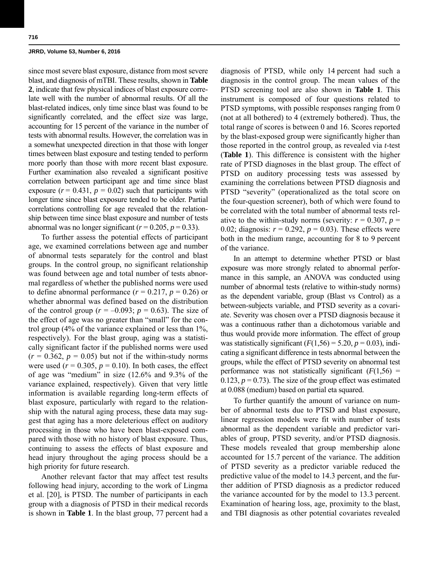since most severe blast exposure, distance from most severe blast, and diagnosis of mTBI. These results, shown in **Table 2**, indicate that few physical indices of blast exposure correlate well with the number of abnormal results. Of all the blast-related indices, only time since blast was found to be significantly correlated, and the effect size was large, accounting for 15 percent of the variance in the number of tests with abnormal results. However, the correlation was in a somewhat unexpected direction in that those with longer times between blast exposure and testing tended to perform more poorly than those with more recent blast exposure. Further examination also revealed a significant positive correlation between participant age and time since blast exposure  $(r = 0.431, p = 0.02)$  such that participants with longer time since blast exposure tended to be older. Partial correlations controlling for age revealed that the relationship between time since blast exposure and number of tests abnormal was no longer significant ( $r = 0.205$ ,  $p = 0.33$ ).

To further assess the potential effects of participant age, we examined correlations between age and number of abnormal tests separately for the control and blast groups. In the control group, no significant relationship was found between age and total number of tests abnormal regardless of whether the published norms were used to define abnormal performance  $(r = 0.217, p = 0.26)$  or whether abnormal was defined based on the distribution of the control group ( $r = -0.093$ ;  $p = 0.63$ ). The size of the effect of age was no greater than "small" for the control group (4% of the variance explained or less than 1%, respectively). For the blast group, aging was a statistically significant factor if the published norms were used  $(r = 0.362, p = 0.05)$  but not if the within-study norms were used  $(r = 0.305, p = 0.10)$ . In both cases, the effect of age was "medium" in size (12.6% and 9.3% of the variance explained, respectively). Given that very little information is available regarding long-term effects of blast exposure, particularly with regard to the relationship with the natural aging process, these data may suggest that aging has a more deleterious effect on auditory processing in those who have been blast-exposed compared with those with no history of blast exposure. Thus, continuing to assess the effects of blast exposure and head injury throughout the aging process should be a high priority for future research.

Another relevant factor that may affect test results following head injury, according to the work of Lingma et al. [20], is PTSD. The number of participants in each group with a diagnosis of PTSD in their medical records is shown in **Table 1**. In the blast group, 77 percent had a

diagnosis of PTSD, while only 14 percent had such a diagnosis in the control group. The mean values of the PTSD screening tool are also shown in **Table 1**. This instrument is composed of four questions related to PTSD symptoms, with possible responses ranging from 0 (not at all bothered) to 4 (extremely bothered). Thus, the total range of scores is between 0 and 16. Scores reported by the blast-exposed group were significantly higher than those reported in the control group, as revealed via *t*-test (**Table 1**). This difference is consistent with the higher rate of PTSD diagnoses in the blast group. The effect of PTSD on auditory processing tests was assessed by examining the correlations between PTSD diagnosis and PTSD "severity" (operationalized as the total score on the four-question screener), both of which were found to be correlated with the total number of abnormal tests relative to the within-study norms (severity:  $r = 0.307$ ,  $p =$ 0.02; diagnosis:  $r = 0.292$ ,  $p = 0.03$ ). These effects were both in the medium range, accounting for 8 to 9 percent of the variance.

In an attempt to determine whether PTSD or blast exposure was more strongly related to abnormal performance in this sample, an ANOVA was conducted using number of abnormal tests (relative to within-study norms) as the dependent variable, group (Blast vs Control) as a between-subjects variable, and PTSD severity as a covariate. Severity was chosen over a PTSD diagnosis because it was a continuous rather than a dichotomous variable and thus would provide more information. The effect of group was statistically significant  $(F(1,56) = 5.20, p = 0.03)$ , indicating a significant difference in tests abnormal between the groups, while the effect of PTSD severity on abnormal test performance was not statistically significant  $(F(1,56) =$ 0.123,  $p = 0.73$ ). The size of the group effect was estimated at 0.088 (medium) based on partial eta squared.

To further quantify the amount of variance on number of abnormal tests due to PTSD and blast exposure, linear regression models were fit with number of tests abnormal as the dependent variable and predictor variables of group, PTSD severity, and/or PTSD diagnosis. These models revealed that group membership alone accounted for 15.7 percent of the variance. The addition of PTSD severity as a predictor variable reduced the predictive value of the model to 14.3 percent, and the further addition of PTSD diagnosis as a predictor reduced the variance accounted for by the model to 13.3 percent. Examination of hearing loss, age, proximity to the blast, and TBI diagnosis as other potential covariates revealed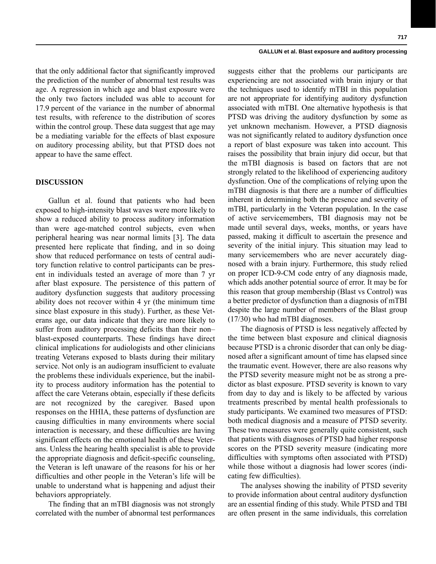that the only additional factor that significantly improved the prediction of the number of abnormal test results was age. A regression in which age and blast exposure were the only two factors included was able to account for 17.9 percent of the variance in the number of abnormal test results, with reference to the distribution of scores within the control group. These data suggest that age may be a mediating variable for the effects of blast exposure on auditory processing ability, but that PTSD does not appear to have the same effect.

## **DISCUSSION**

Gallun et al. found that patients who had been exposed to high-intensity blast waves were more likely to show a reduced ability to process auditory information than were age-matched control subjects, even when peripheral hearing was near normal limits [3]. The data presented here replicate that finding, and in so doing show that reduced performance on tests of central auditory function relative to control participants can be present in individuals tested an average of more than 7 yr after blast exposure. The persistence of this pattern of auditory dysfunction suggests that auditory processing ability does not recover within 4 yr (the minimum time since blast exposure in this study). Further, as these Veterans age, our data indicate that they are more likely to suffer from auditory processing deficits than their non– blast-exposed counterparts. These findings have direct clinical implications for audiologists and other clinicians treating Veterans exposed to blasts during their military service. Not only is an audiogram insufficient to evaluate the problems these individuals experience, but the inability to process auditory information has the potential to affect the care Veterans obtain, especially if these deficits are not recognized by the caregiver. Based upon responses on the HHIA, these patterns of dysfunction are causing difficulties in many environments where social interaction is necessary, and these difficulties are having significant effects on the emotional health of these Veterans. Unless the hearing health specialist is able to provide the appropriate diagnosis and deficit-specific counseling, the Veteran is left unaware of the reasons for his or her difficulties and other people in the Veteran's life will be unable to understand what is happening and adjust their behaviors appropriately.

The finding that an mTBI diagnosis was not strongly correlated with the number of abnormal test performances suggests either that the problems our participants are experiencing are not associated with brain injury or that the techniques used to identify mTBI in this population are not appropriate for identifying auditory dysfunction associated with mTBI. One alternative hypothesis is that PTSD was driving the auditory dysfunction by some as yet unknown mechanism. However, a PTSD diagnosis was not significantly related to auditory dysfunction once a report of blast exposure was taken into account. This raises the possibility that brain injury did occur, but that the mTBI diagnosis is based on factors that are not strongly related to the likelihood of experiencing auditory dysfunction. One of the complications of relying upon the mTBI diagnosis is that there are a number of difficulties inherent in determining both the presence and severity of mTBI, particularly in the Veteran population. In the case of active servicemembers, TBI diagnosis may not be made until several days, weeks, months, or years have passed, making it difficult to ascertain the presence and severity of the initial injury. This situation may lead to many servicemembers who are never accurately diagnosed with a brain injury. Furthermore, this study relied on proper ICD-9-CM code entry of any diagnosis made, which adds another potential source of error. It may be for this reason that group membership (Blast vs Control) was a better predictor of dysfunction than a diagnosis of mTBI despite the large number of members of the Blast group (17/30) who had mTBI diagnoses.

The diagnosis of PTSD is less negatively affected by the time between blast exposure and clinical diagnosis because PTSD is a chronic disorder that can only be diagnosed after a significant amount of time has elapsed since the traumatic event. However, there are also reasons why the PTSD severity measure might not be as strong a predictor as blast exposure. PTSD severity is known to vary from day to day and is likely to be affected by various treatments prescribed by mental health professionals to study participants. We examined two measures of PTSD: both medical diagnosis and a measure of PTSD severity. These two measures were generally quite consistent, such that patients with diagnoses of PTSD had higher response scores on the PTSD severity measure (indicating more difficulties with symptoms often associated with PTSD) while those without a diagnosis had lower scores (indicating few difficulties).

The analyses showing the inability of PTSD severity to provide information about central auditory dysfunction are an essential finding of this study. While PTSD and TBI are often present in the same individuals, this correlation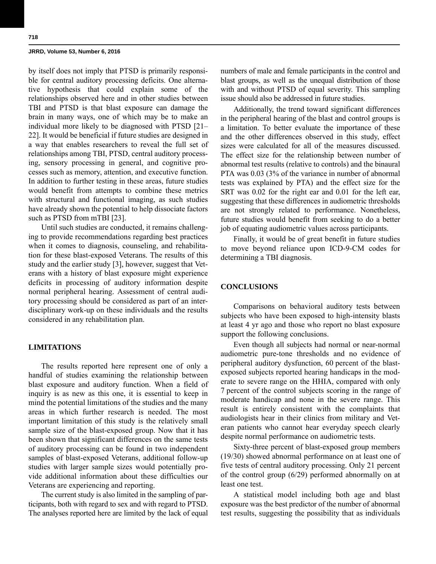by itself does not imply that PTSD is primarily responsible for central auditory processing deficits. One alternative hypothesis that could explain some of the relationships observed here and in other studies between TBI and PTSD is that blast exposure can damage the brain in many ways, one of which may be to make an individual more likely to be diagnosed with PTSD [21– 22]. It would be beneficial if future studies are designed in a way that enables researchers to reveal the full set of relationships among TBI, PTSD, central auditory processing, sensory processing in general, and cognitive processes such as memory, attention, and executive function. In addition to further testing in these areas, future studies would benefit from attempts to combine these metrics with structural and functional imaging, as such studies have already shown the potential to help dissociate factors such as PTSD from mTBI [23].

Until such studies are conducted, it remains challenging to provide recommendations regarding best practices when it comes to diagnosis, counseling, and rehabilitation for these blast-exposed Veterans. The results of this study and the earlier study [3], however, suggest that Veterans with a history of blast exposure might experience deficits in processing of auditory information despite normal peripheral hearing. Assessment of central auditory processing should be considered as part of an interdisciplinary work-up on these individuals and the results considered in any rehabilitation plan.

## **LIMITATIONS**

The results reported here represent one of only a handful of studies examining the relationship between blast exposure and auditory function. When a field of inquiry is as new as this one, it is essential to keep in mind the potential limitations of the studies and the many areas in which further research is needed. The most important limitation of this study is the relatively small sample size of the blast-exposed group. Now that it has been shown that significant differences on the same tests of auditory processing can be found in two independent samples of blast-exposed Veterans, additional follow-up studies with larger sample sizes would potentially provide additional information about these difficulties our Veterans are experiencing and reporting.

The current study is also limited in the sampling of participants, both with regard to sex and with regard to PTSD. The analyses reported here are limited by the lack of equal numbers of male and female participants in the control and blast groups, as well as the unequal distribution of those with and without PTSD of equal severity. This sampling issue should also be addressed in future studies.

Additionally, the trend toward significant differences in the peripheral hearing of the blast and control groups is a limitation. To better evaluate the importance of these and the other differences observed in this study, effect sizes were calculated for all of the measures discussed. The effect size for the relationship between number of abnormal test results (relative to controls) and the binaural PTA was 0.03 (3% of the variance in number of abnormal tests was explained by PTA) and the effect size for the SRT was 0.02 for the right ear and 0.01 for the left ear, suggesting that these differences in audiometric thresholds are not strongly related to performance. Nonetheless, future studies would benefit from seeking to do a better job of equating audiometric values across participants.

Finally, it would be of great benefit in future studies to move beyond reliance upon ICD-9-CM codes for determining a TBI diagnosis.

# **CONCLUSIONS**

Comparisons on behavioral auditory tests between subjects who have been exposed to high-intensity blasts at least 4 yr ago and those who report no blast exposure support the following conclusions.

Even though all subjects had normal or near-normal audiometric pure-tone thresholds and no evidence of peripheral auditory dysfunction, 60 percent of the blastexposed subjects reported hearing handicaps in the moderate to severe range on the HHIA, compared with only 7 percent of the control subjects scoring in the range of moderate handicap and none in the severe range. This result is entirely consistent with the complaints that audiologists hear in their clinics from military and Veteran patients who cannot hear everyday speech clearly despite normal performance on audiometric tests.

Sixty-three percent of blast-exposed group members (19/30) showed abnormal performance on at least one of five tests of central auditory processing. Only 21 percent of the control group (6/29) performed abnormally on at least one test.

A statistical model including both age and blast exposure was the best predictor of the number of abnormal test results, suggesting the possibility that as individuals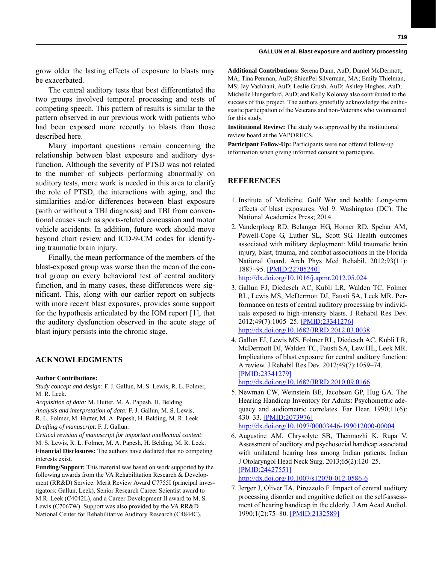grow older the lasting effects of exposure to blasts may be exacerbated.

The central auditory tests that best differentiated the two groups involved temporal processing and tests of competing speech. This pattern of results is similar to the pattern observed in our previous work with patients who had been exposed more recently to blasts than those described here.

Many important questions remain concerning the relationship between blast exposure and auditory dysfunction. Although the severity of PTSD was not related to the number of subjects performing abnormally on auditory tests, more work is needed in this area to clarify the role of PTSD, the interactions with aging, and the similarities and/or differences between blast exposure (with or without a TBI diagnosis) and TBI from conventional causes such as sports-related concussion and motor vehicle accidents. In addition, future work should move beyond chart review and ICD-9-CM codes for identifying traumatic brain injury.

Finally, the mean performance of the members of the blast-exposed group was worse than the mean of the control group on every behavioral test of central auditory function, and in many cases, these differences were significant. This, along with our earlier report on subjects with more recent blast exposures, provides some support for the hypothesis articulated by the IOM report [1], that the auditory dysfunction observed in the acute stage of blast injury persists into the chronic stage.

#### **ACKNOWLEDGMENTS**

#### **Author Contributions:**

*Study concept and design:* F. J. Gallun, M. S. Lewis, R. L. Folmer, M. R. Leek.

*Acquisition of data:* M. Hutter, M. A. Papesh, H. Belding. *Analysis and interpretation of data:* F. J. Gallun, M. S. Lewis, R. L. Folmer, M. Hutter, M. A. Papesh, H. Belding, M. R. Leek. *Drafting of manuscript*: F. J. Gallun.

*Critical revision of manuscript for important intellectual content*: M. S. Lewis, R. L. Folmer, M. A. Papesh, H. Belding, M. R. Leek. **Financial Disclosures:** The authors have declared that no competing interests exist.

**Funding/Support:** This material was based on work supported by the following awards from the VA Rehabilitation Research & Development (RR&D) Service: Merit Review Award C7755I (principal investigators: Gallun, Leek), Senior Research Career Scientist award to M.R. Leek (C4042L), and a Career Development II award to M. S. Lewis (C7067W). Support was also provided by the VA RR&D National Center for Rehabilitative Auditory Research (C4844C).

**Additional Contributions:** Serena Dann, AuD; Daniel McDermott, MA; Tina Penman, AuD; ShienPei Silverman, MA; Emily Thielman, MS; Jay Vachhani, AuD; Leslie Grush, AuD; Ashley Hughes, AuD; Michelle Hungerford, AuD; and Kelly Kolonay also contributed to the success of this project. The authors gratefully acknowledge the enthusiastic participation of the Veterans and non-Veterans who volunteered for this study.

**Institutional Review:** The study was approved by the institutional review board at the VAPORHCS.

**Participant Follow-Up:** Participants were not offered follow-up information when giving informed consent to participate.

## **REFERENCES**

- 1. Institute of Medicine. Gulf War and health: Long-term effects of blast exposures. Vol 9. Washington (DC): The National Academies Press; 2014.
- 2. Vanderploeg RD, Belanger HG, Horner RD, Spehar AM, Powell-Cope G, Luther SL, Scott SG. Health outcomes associated with military deployment: Mild traumatic brain injury, blast, trauma, and combat associations in the Florida National Guard. Arch Phys Med Rehabil. 2012;93(11): 1887–95. [\[PMID:22705240\]](http://www.ncbi.nlm.nih.gov/entrez/query.fcgi?cmd=Retrieve&db=PubMed&list_uids=22705240&dopt=Abstract)

[h](http://www.ncbi.nlm.nih.gov/entrez/query.fcgi?cmd=Retrieve&db=PubMed&list_uids=22705240&dopt=Abstract)[ttp://dx.doi.org/10.1016/j.apmr.2012.05.024](http://dx.doi.org/10.1016/j.apmr.2012.05.024)

- 3. Gallun FJ, Diedesch AC, Kubli LR, Walden TC, Folmer RL, Lewis MS, McDermott DJ, Fausti SA, Leek MR. Performance on tests of central auditory processing by individuals exposed to high-intensity blasts. J Rehabil Res Dev. 2012;49(7):1005–25. [\[PMID:23341276\]](http://www.ncbi.nlm.nih.gov/entrez/query.fcgi?cmd=Retrieve&db=PubMed&list_uids=23341276&dopt=Abstract) [h](http://www.ncbi.nlm.nih.gov/entrez/query.fcgi?cmd=Retrieve&db=PubMed&list_uids=23341276&dopt=Abstract)[ttp://dx.doi.org/10.1682/JRRD.2012.03.0038](http://dx.doi.org/10.1682/JRRD.2012.03.0038)
- 4. Gallun FJ, Lewis MS, Folmer RL, Diedesch AC, Kubli LR, McDermott DJ, Walden TC, Fausti SA, Lew HL, Leek MR. Implications of blast exposure for central auditory function: A review. J Rehabil Res Dev. 2012;49(7):1059–74. [\[PMID:23341279\]](http://www.ncbi.nlm.nih.gov/entrez/query.fcgi?cmd=Retrieve&db=PubMed&list_uids=23341279&dopt=Abstract) [h](http://www.ncbi.nlm.nih.gov/entrez/query.fcgi?cmd=Retrieve&db=PubMed&list_uids=23341279&dopt=Abstract)[ttp://dx.doi.org/10.1682/JRRD.2010.09.0166](http://dx.doi.org/10.1682/JRRD.2010.09.0166)

 5. Newman CW, Weinstein BE, Jacobson GP, Hug GA. The Hearing Handicap Inventory for Adults: Psychometric adequacy and audiometric correlates. Ear Hear. 1990;11(6):

430–33. [\[PMID:2073976\]](http://www.ncbi.nlm.nih.gov/entrez/query.fcgi?cmd=Retrieve&db=PubMed&list_uids=2073976&dopt=Abstract) [h](http://www.ncbi.nlm.nih.gov/entrez/query.fcgi?cmd=Retrieve&db=PubMed&list_uids=2073976&dopt=Abstract)[ttp://dx.doi.org/10.1097/00003446-199012000-00004](http://dx.doi.org/10.1097/00003446-199012000-00004)

 6. Augustine AM, Chrysolyte SB, Thenmozhi K, Rupa V. Assessment of auditory and psychosocial handicap associated with unilateral hearing loss among Indian patients. Indian J Otolaryngol Head Neck Surg. 2013;65(2):120–25. [\[PMID:24427551\]](http://www.ncbi.nlm.nih.gov/entrez/query.fcgi?cmd=Retrieve&db=PubMed&list_uids=24427551&dopt=Abstract) [h](http://www.ncbi.nlm.nih.gov/entrez/query.fcgi?cmd=Retrieve&db=PubMed&list_uids=24427551&dopt=Abstract)[ttp://dx.doi.org/10.1007/s12070-012-0586-6](http://dx.doi.org/10.1007/s12070-012-0586-6)

 7. Jerger J, Oliver TA, Pirozzolo F. Impact of central auditory processing disorder and cognitive deficit on the self-assessment of hearing handicap in the elderly. J Am Acad Audiol. 1990;1(2):75–80. [\[PMID:2132589\]](http://www.ncbi.nlm.nih.gov/entrez/query.fcgi?cmd=Retrieve&db=PubMed&list_uids=2132589&dopt=Abstract)